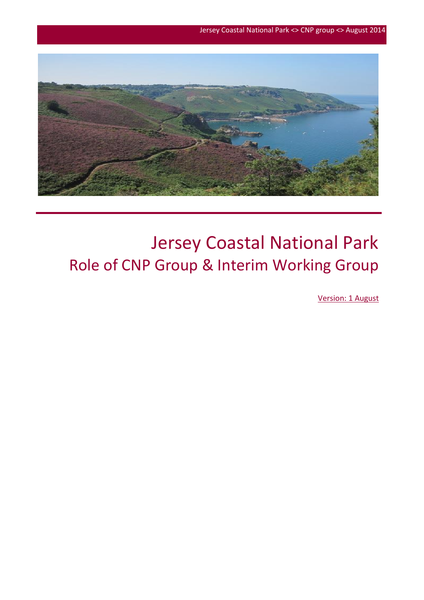

# Jersey Coastal National Park Role of CNP Group & Interim Working Group

Version: 1 August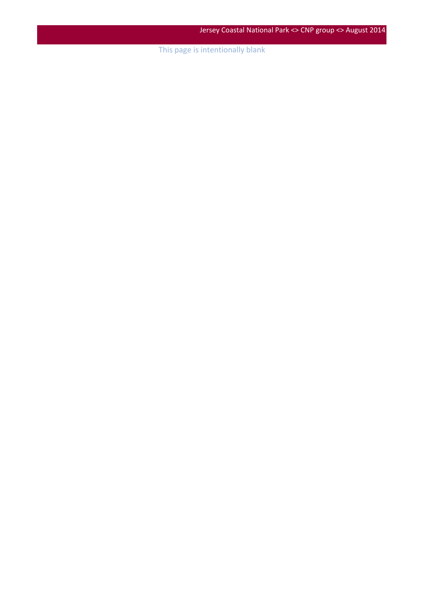This page is intentionally blank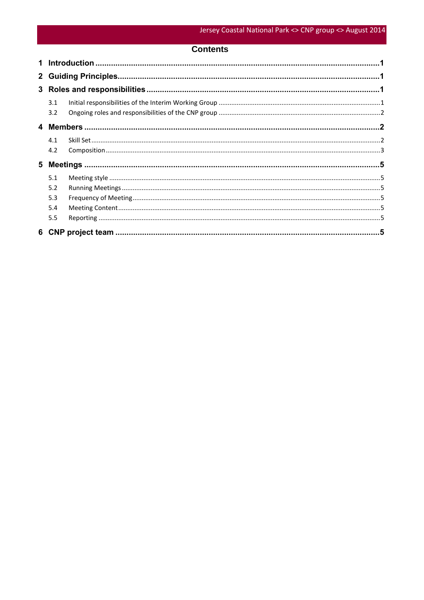#### **Contents**

| 3.1 |  |  |  |  |  |  |  |
|-----|--|--|--|--|--|--|--|
| 3.2 |  |  |  |  |  |  |  |
|     |  |  |  |  |  |  |  |
| 4.1 |  |  |  |  |  |  |  |
| 4.2 |  |  |  |  |  |  |  |
|     |  |  |  |  |  |  |  |
| 5.1 |  |  |  |  |  |  |  |
| 5.2 |  |  |  |  |  |  |  |
| 5.3 |  |  |  |  |  |  |  |
| 5.4 |  |  |  |  |  |  |  |
| 5.5 |  |  |  |  |  |  |  |
|     |  |  |  |  |  |  |  |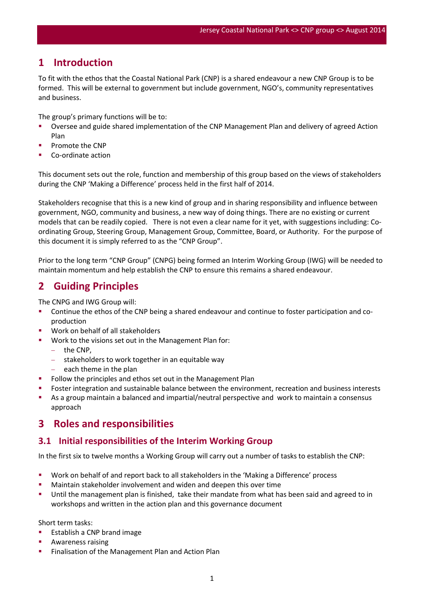# <span id="page-3-0"></span>**1 Introduction**

To fit with the ethos that the Coastal National Park (CNP) is a shared endeavour a new CNP Group is to be formed. This will be external to government but include government, NGO's, community representatives and business.

The group's primary functions will be to:

- Oversee and guide shared implementation of the CNP Management Plan and delivery of agreed Action Plan
- Promote the CNP
- Co-ordinate action

This document sets out the role, function and membership of this group based on the views of stakeholders during the CNP 'Making a Difference' process held in the first half of 2014.

Stakeholders recognise that this is a new kind of group and in sharing responsibility and influence between government, NGO, community and business, a new way of doing things. There are no existing or current models that can be readily copied. There is not even a clear name for it yet, with suggestions including: Coordinating Group, Steering Group, Management Group, Committee, Board, or Authority. For the purpose of this document it is simply referred to as the "CNP Group".

Prior to the long term "CNP Group" (CNPG) being formed an Interim Working Group (IWG) will be needed to maintain momentum and help establish the CNP to ensure this remains a shared endeavour.

# <span id="page-3-1"></span>**2 Guiding Principles**

The CNPG and IWG Group will:

- Continue the ethos of the CNP being a shared endeavour and continue to foster participation and coproduction
- Work on behalf of all stakeholders
- Work to the visions set out in the Management Plan for:
	- $-$  the CNP.
	- $-$  stakeholders to work together in an equitable way
	- $-$  each theme in the plan
- Follow the principles and ethos set out in the Management Plan
- Foster integration and sustainable balance between the environment, recreation and business interests
- As a group maintain a balanced and impartial/neutral perspective and work to maintain a consensus approach

# <span id="page-3-2"></span>**3 Roles and responsibilities**

# <span id="page-3-3"></span>**3.1 Initial responsibilities of the Interim Working Group**

In the first six to twelve months a Working Group will carry out a number of tasks to establish the CNP:

- Work on behalf of and report back to all stakeholders in the 'Making a Difference' process
- Maintain stakeholder involvement and widen and deepen this over time
- Until the management plan is finished, take their mandate from what has been said and agreed to in workshops and written in the action plan and this governance document

Short term tasks:

- Establish a CNP brand image
- Awareness raising
- Finalisation of the Management Plan and Action Plan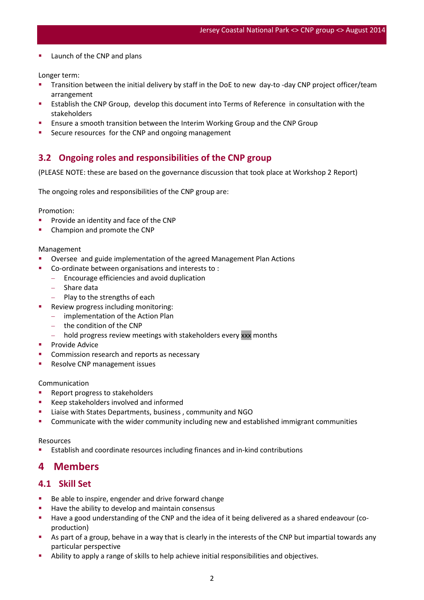#### Launch of the CNP and plans

Longer term:

- Transition between the initial delivery by staff in the DoE to new day-to -day CNP project officer/team arrangement
- Establish the CNP Group, develop this document into Terms of Reference in consultation with the stakeholders
- Ensure a smooth transition between the Interim Working Group and the CNP Group
- Secure resources for the CNP and ongoing management

# <span id="page-4-0"></span>**3.2 Ongoing roles and responsibilities of the CNP group**

(PLEASE NOTE: these are based on the governance discussion that took place at Workshop 2 Report)

The ongoing roles and responsibilities of the CNP group are:

Promotion:

- Provide an identity and face of the CNP
- Champion and promote the CNP

#### Management

- Oversee and guide implementation of the agreed Management Plan Actions
- Co-ordinate between organisations and interests to :
	- Encourage efficiencies and avoid duplication
	- $-$  Share data
	- $-$  Play to the strengths of each
- Review progress including monitoring:
	- implementation of the Action Plan
	- $-$  the condition of the CNP
- hold progress review meetings with stakeholders every xxx months
- Provide Advice
- Commission research and reports as necessary
- **Resolve CNP management issues**

#### Communication

- Report progress to stakeholders
- Keep stakeholders involved and informed
- **EXTER** Liaise with States Departments, business, community and NGO
- Communicate with the wider community including new and established immigrant communities

Resources

Establish and coordinate resources including finances and in-kind contributions

# <span id="page-4-1"></span>**4 Members**

## <span id="page-4-2"></span>**4.1 Skill Set**

- Be able to inspire, engender and drive forward change
- Have the ability to develop and maintain consensus
- Have a good understanding of the CNP and the idea of it being delivered as a shared endeavour (coproduction)
- As part of a group, behave in a way that is clearly in the interests of the CNP but impartial towards any particular perspective
- Ability to apply a range of skills to help achieve initial responsibilities and objectives.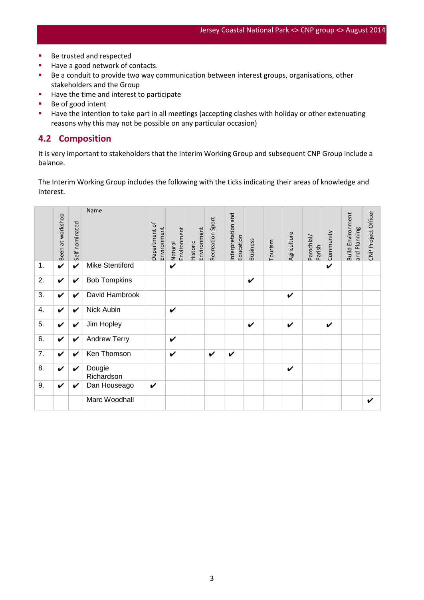- **Be trusted and respected**
- Have a good network of contacts.
- **Be a conduit to provide two way communication between interest groups, organisations, other** stakeholders and the Group
- Have the time and interest to participate
- Be of good intent
- Have the intention to take part in all meetings (accepting clashes with holiday or other extenuating reasons why this may not be possible on any particular occasion)

## <span id="page-5-0"></span>**4.2 Composition**

It is very important to stakeholders that the Interim Working Group and subsequent CNP Group include a balance.

The Interim Working Group includes the following with the ticks indicating their areas of knowledge and interest.

|    | Been at workshop | Self nominated | Name                   | Department of<br>Environment | Environment<br>Natural | Environment<br>Historic | Recreation Sport | and<br>Interpretation<br>Education | <b>Business</b> | Tourism | Agriculture | Parochial/<br>Parish | Community | <b>Build Environment</b><br>and Planning | CNP Project Officer |
|----|------------------|----------------|------------------------|------------------------------|------------------------|-------------------------|------------------|------------------------------------|-----------------|---------|-------------|----------------------|-----------|------------------------------------------|---------------------|
| 1. | $\checkmark$     | V              | <b>Mike Stentiford</b> |                              | V                      |                         |                  |                                    |                 |         |             |                      | V         |                                          |                     |
| 2. | V                | V              | <b>Bob Tompkins</b>    |                              |                        |                         |                  |                                    | V               |         |             |                      |           |                                          |                     |
| 3. | ✔                | V              | David Hambrook         |                              |                        |                         |                  |                                    |                 |         | V           |                      |           |                                          |                     |
| 4. | ✔                | V              | <b>Nick Aubin</b>      |                              | V                      |                         |                  |                                    |                 |         |             |                      |           |                                          |                     |
| 5. | V                | V              | Jim Hopley             |                              |                        |                         |                  |                                    | V               |         | V           |                      | V         |                                          |                     |
| 6. | V                | V              | Andrew Terry           |                              | $\boldsymbol{\nu}$     |                         |                  |                                    |                 |         |             |                      |           |                                          |                     |
| 7. | V                | V              | Ken Thomson            |                              | V                      |                         | V                | V                                  |                 |         |             |                      |           |                                          |                     |
| 8. | V                | V              | Dougie<br>Richardson   |                              |                        |                         |                  |                                    |                 |         | V           |                      |           |                                          |                     |
| 9. | ✔                | V              | Dan Houseago           | V                            |                        |                         |                  |                                    |                 |         |             |                      |           |                                          |                     |
|    |                  |                | Marc Woodhall          |                              |                        |                         |                  |                                    |                 |         |             |                      |           |                                          | V                   |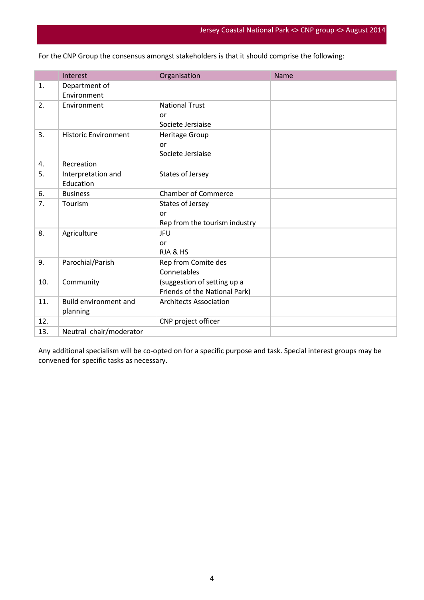For the CNP Group the consensus amongst stakeholders is that it should comprise the following:

|     | Interest                     | Organisation                  | Name |
|-----|------------------------------|-------------------------------|------|
| 1.  | Department of<br>Environment |                               |      |
| 2.  | Environment                  | <b>National Trust</b>         |      |
|     |                              | or                            |      |
|     |                              | Societe Jersiaise             |      |
| 3.  | <b>Historic Environment</b>  | Heritage Group                |      |
|     |                              | or                            |      |
|     |                              | Societe Jersiaise             |      |
| 4.  | Recreation                   |                               |      |
| 5.  | Interpretation and           | States of Jersey              |      |
|     | Education                    |                               |      |
| 6.  | <b>Business</b>              | <b>Chamber of Commerce</b>    |      |
| 7.  | Tourism                      | <b>States of Jersey</b>       |      |
|     |                              | or                            |      |
|     |                              | Rep from the tourism industry |      |
| 8.  | Agriculture                  | <b>JFU</b>                    |      |
|     |                              | or                            |      |
|     |                              | <b>RJA &amp; HS</b>           |      |
| 9.  | Parochial/Parish             | Rep from Comite des           |      |
|     |                              | Connetables                   |      |
| 10. | Community                    | (suggestion of setting up a   |      |
|     |                              | Friends of the National Park) |      |
| 11. | <b>Build environment and</b> | <b>Architects Association</b> |      |
|     | planning                     |                               |      |
| 12. |                              | CNP project officer           |      |
| 13. | Neutral chair/moderator      |                               |      |

Any additional specialism will be co-opted on for a specific purpose and task. Special interest groups may be convened for specific tasks as necessary.